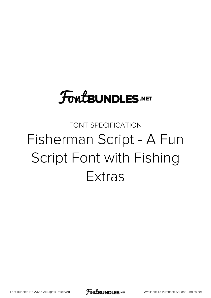# **FoutBUNDLES.NET**

## FONT SPECIFICATION Fisherman Script - A Fun Script Font with Fishing Extras

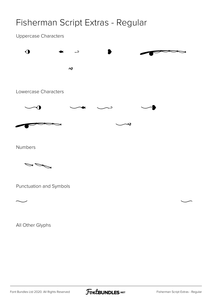### Fisherman Script Extras - Regular

#### Uppercase Characters



Numbers



Punctuation and Symbols

All Other Glyphs



 $\sim$   $\sim$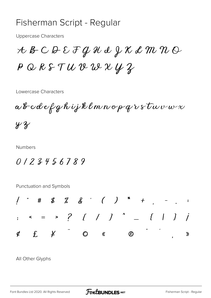#### Fisherman Script - Regular

**Uppercase Characters** 

 $A$   $B$   $C$   $D$   $E$   $\mathcal{F}$   $Q$   $\mathcal{H}$   $d$   $\mathcal{Y}$   $\mathcal{X}$   $d$   $\mathcal{M}$   $\mathcal{W}$   $\mathcal{Q}$  $P$  Q R S T U V W U X Y Z

Lowercase Characters

 $\alpha$ bcdefghijklmnopqrstuvwx  $42$ 

**Numbers** 

0123456789

Punctuation and Symbols



All Other Glyphs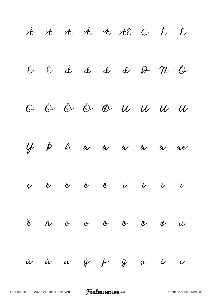